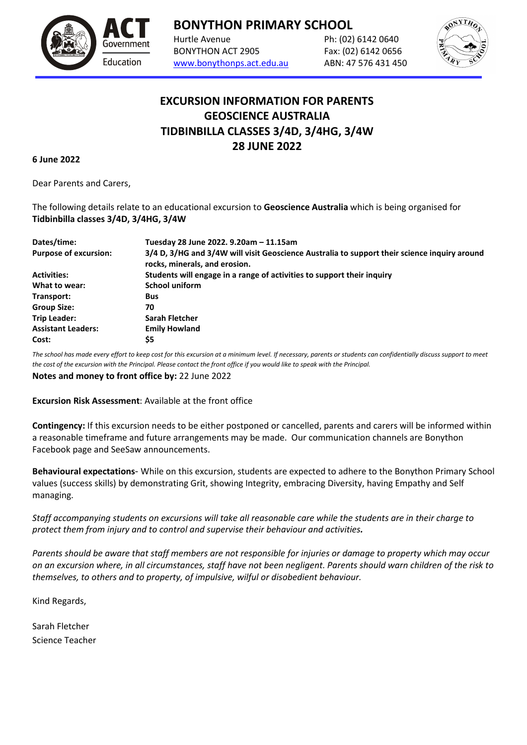

**BONYTHON PRIMARY SCHOOL**

Hurtle Avenue Ph: (02) 6142 0640 BONYTHON ACT 2905 Fax: (02) 6142 0656 [www.bonythonps.act.edu.au](http://www.bonythonps.act.edu.au/) ABN: 47 576 431 450



## **EXCURSION INFORMATION FOR PARENTS GEOSCIENCE AUSTRALIA TIDBINBILLA CLASSES 3/4D, 3/4HG, 3/4W 28 JUNE 2022**

**6 June 2022**

Dear Parents and Carers,

The following details relate to an educational excursion to **Geoscience Australia** which is being organised for **Tidbinbilla classes 3/4D, 3/4HG, 3/4W**

| Dates/time:                  | Tuesday 28 June 2022. 9.20am - 11.15am                                                                                        |
|------------------------------|-------------------------------------------------------------------------------------------------------------------------------|
| <b>Purpose of excursion:</b> | 3/4 D, 3/HG and 3/4W will visit Geoscience Australia to support their science inquiry around<br>rocks, minerals, and erosion. |
| <b>Activities:</b>           | Students will engage in a range of activities to support their inquiry                                                        |
| What to wear:                | <b>School uniform</b>                                                                                                         |
| Transport:                   | Bus                                                                                                                           |
| <b>Group Size:</b>           | 70                                                                                                                            |
| <b>Trip Leader:</b>          | Sarah Fletcher                                                                                                                |
| <b>Assistant Leaders:</b>    | <b>Emily Howland</b>                                                                                                          |
| Cost:                        | S5                                                                                                                            |

*The school has made every effort to keep cost for this excursion at a minimum level. If necessary, parents or students can confidentially discuss support to meet the cost of the excursion with the Principal. Please contact the front office if you would like to speak with the Principal.*

**Notes and money to front office by:** 22 June 2022

**Excursion Risk Assessment**: Available at the front office

**Contingency:** If this excursion needs to be either postponed or cancelled, parents and carers will be informed within a reasonable timeframe and future arrangements may be made. Our communication channels are Bonython Facebook page and SeeSaw announcements.

**Behavioural expectations**- While on this excursion, students are expected to adhere to the Bonython Primary School values (success skills) by demonstrating Grit, showing Integrity, embracing Diversity, having Empathy and Self managing.

*Staff accompanying students on excursions will take all reasonable care while the students are in their charge to protect them from injury and to control and supervise their behaviour and activities.*

*Parents should be aware that staff members are not responsible for injuries or damage to property which may occur on an excursion where, in all circumstances, staff have not been negligent. Parents should warn children of the risk to themselves, to others and to property, of impulsive, wilful or disobedient behaviour.*

Kind Regards,

Sarah Fletcher Science Teacher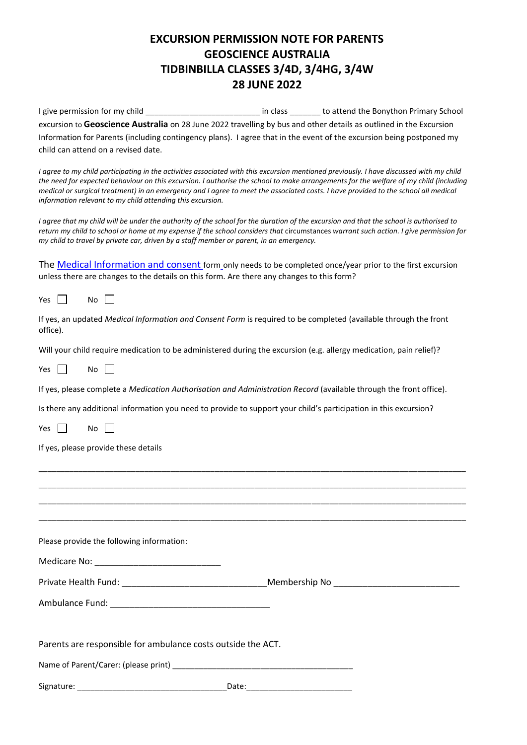## **EXCURSION PERMISSION NOTE FOR PARENTS GEOSCIENCE AUSTRALIA TIDBINBILLA CLASSES 3/4D, 3/4HG, 3/4W 28 JUNE 2022**

I give permission for my child \_\_\_\_\_\_\_\_\_\_\_\_\_\_\_\_\_\_\_\_\_\_\_\_\_\_\_\_\_\_\_\_ in class \_\_\_\_\_\_\_\_ to attend the Bonython Primary School excursion to **Geoscience Australia** on 28 June 2022 travelling by bus and other details as outlined in the Excursion Information for Parents (including contingency plans). I agree that in the event of the excursion being postponed my child can attend on a revised date.

*I agree to my child participating in the activities associated with this excursion mentioned previously. I have discussed with my child the need for expected behaviour on this excursion. I authorise the school to make arrangements for the welfare of my child (including medical or surgical treatment) in an emergency and I agree to meet the associated costs. I have provided to the school all medical information relevant to my child attending this excursion.*

*I agree that my child will be under the authority of the school for the duration of the excursion and that the school is authorised to*  return my child to school or home at my expense if the school considers that circumstances warrant such action. I give permission for *my child to travel by private car, driven by a staff member or parent, in an emergency.* 

The [Medical Information and consent](https://www.education.act.gov.au/publications_and_policies/implementation-documents/school-and-corporate-policies/school-activities/excursions/excursions-policy/attachment-4-medical-information-and-consent-form) form only needs to be completed once/year prior to the first excursion unless there are changes to the details on this form. Are there any changes to this form?

Yes  $\Box$  No  $\Box$ 

| If yes, an updated Medical Information and Consent Form is required to be completed (available through the front |  |
|------------------------------------------------------------------------------------------------------------------|--|
| office).                                                                                                         |  |

Will your child require medication to be administered during the excursion (e.g. allergy medication, pain relief)?

Yes  $\Box$  No  $\Box$ 

If yes, please complete a *Medication Authorisation and Administration Record* (available through the front office).

Is there any additional information you need to provide to support your child's participation in this excursion?

Yes  $\Box$  No  $\Box$ 

If yes, please provide these details

| Please provide the following information:                    |  |
|--------------------------------------------------------------|--|
|                                                              |  |
|                                                              |  |
|                                                              |  |
|                                                              |  |
| Parents are responsible for ambulance costs outside the ACT. |  |
|                                                              |  |
|                                                              |  |